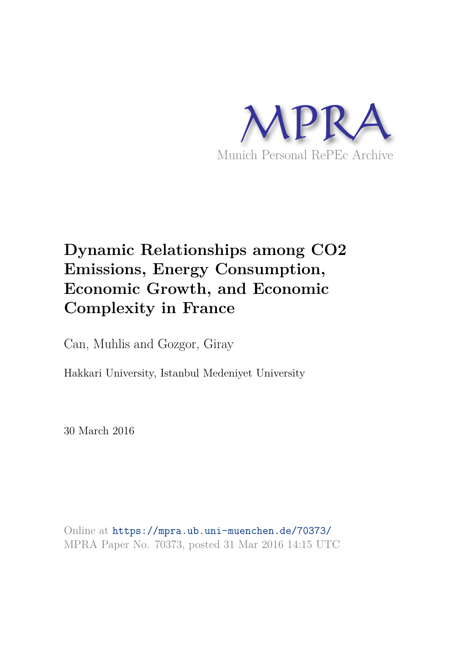

# **Dynamic Relationships among CO2 Emissions, Energy Consumption, Economic Growth, and Economic Complexity in France**

Can, Muhlis and Gozgor, Giray

Hakkari University, Istanbul Medeniyet University

30 March 2016

Online at https://mpra.ub.uni-muenchen.de/70373/ MPRA Paper No. 70373, posted 31 Mar 2016 14:15 UTC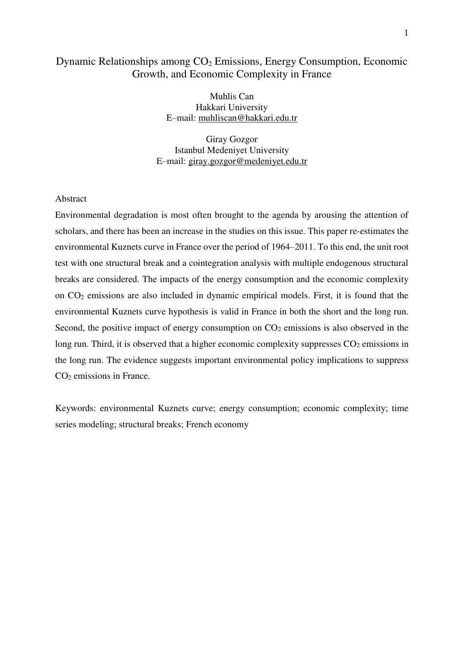# Dynamic Relationships among CO<sub>2</sub> Emissions, Energy Consumption, Economic Growth, and Economic Complexity in France

Muhlis Can Hakkari University E–mail: muhliscan@hakkari.edu.tr

Giray Gozgor Istanbul Medeniyet University E–mail: giray.gozgor@medeniyet.edu.tr

# Abstract

Environmental degradation is most often brought to the agenda by arousing the attention of scholars, and there has been an increase in the studies on this issue. This paper re-estimates the environmental Kuznets curve in France over the period of 1964–2011. To this end, the unit root test with one structural break and a cointegration analysis with multiple endogenous structural breaks are considered. The impacts of the energy consumption and the economic complexity on CO2 emissions are also included in dynamic empirical models. First, it is found that the environmental Kuznets curve hypothesis is valid in France in both the short and the long run. Second, the positive impact of energy consumption on  $CO<sub>2</sub>$  emissions is also observed in the long run. Third, it is observed that a higher economic complexity suppresses  $CO<sub>2</sub>$  emissions in the long run. The evidence suggests important environmental policy implications to suppress CO<sub>2</sub> emissions in France.

Keywords: environmental Kuznets curve; energy consumption; economic complexity; time series modeling; structural breaks; French economy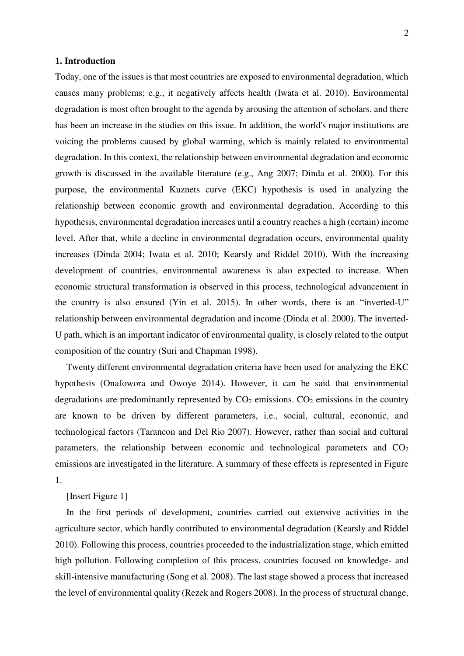# **1. Introduction**

Today, one of the issues is that most countries are exposed to environmental degradation, which causes many problems; e.g., it negatively affects health (Iwata et al. 2010). Environmental degradation is most often brought to the agenda by arousing the attention of scholars, and there has been an increase in the studies on this issue. In addition, the world's major institutions are voicing the problems caused by global warming, which is mainly related to environmental degradation. In this context, the relationship between environmental degradation and economic growth is discussed in the available literature (e.g., Ang 2007; Dinda et al. 2000). For this purpose, the environmental Kuznets curve (EKC) hypothesis is used in analyzing the relationship between economic growth and environmental degradation. According to this hypothesis, environmental degradation increases until a country reaches a high (certain) income level. After that, while a decline in environmental degradation occurs, environmental quality increases (Dinda 2004; Iwata et al. 2010; Kearsly and Riddel 2010). With the increasing development of countries, environmental awareness is also expected to increase. When economic structural transformation is observed in this process, technological advancement in the country is also ensured (Yin et al. 2015). In other words, there is an "inverted-U" relationship between environmental degradation and income (Dinda et al. 2000). The inverted-U path, which is an important indicator of environmental quality, is closely related to the output composition of the country (Suri and Chapman 1998).

Twenty different environmental degradation criteria have been used for analyzing the EKC hypothesis (Onafowora and Owoye 2014). However, it can be said that environmental degradations are predominantly represented by  $CO<sub>2</sub>$  emissions.  $CO<sub>2</sub>$  emissions in the country are known to be driven by different parameters, i.e., social, cultural, economic, and technological factors (Tarancon and Del Rio 2007). However, rather than social and cultural parameters, the relationship between economic and technological parameters and  $CO<sub>2</sub>$ emissions are investigated in the literature. A summary of these effects is represented in Figure 1.

[Insert Figure 1]

In the first periods of development, countries carried out extensive activities in the agriculture sector, which hardly contributed to environmental degradation (Kearsly and Riddel 2010). Following this process, countries proceeded to the industrialization stage, which emitted high pollution. Following completion of this process, countries focused on knowledge- and skill-intensive manufacturing (Song et al. 2008). The last stage showed a process that increased the level of environmental quality (Rezek and Rogers 2008). In the process of structural change,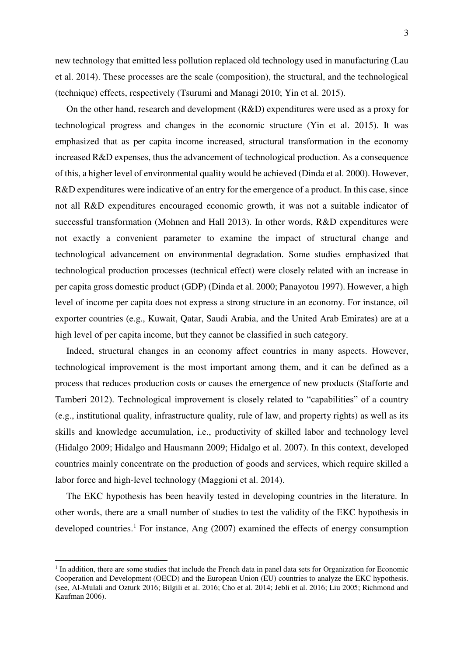new technology that emitted less pollution replaced old technology used in manufacturing (Lau et al. 2014). These processes are the scale (composition), the structural, and the technological (technique) effects, respectively (Tsurumi and Managi 2010; Yin et al. 2015).

On the other hand, research and development (R&D) expenditures were used as a proxy for technological progress and changes in the economic structure (Yin et al. 2015). It was emphasized that as per capita income increased, structural transformation in the economy increased R&D expenses, thus the advancement of technological production. As a consequence of this, a higher level of environmental quality would be achieved (Dinda et al. 2000). However, R&D expenditures were indicative of an entry for the emergence of a product. In this case, since not all R&D expenditures encouraged economic growth, it was not a suitable indicator of successful transformation (Mohnen and Hall 2013). In other words, R&D expenditures were not exactly a convenient parameter to examine the impact of structural change and technological advancement on environmental degradation. Some studies emphasized that technological production processes (technical effect) were closely related with an increase in per capita gross domestic product (GDP) (Dinda et al. 2000; Panayotou 1997). However, a high level of income per capita does not express a strong structure in an economy. For instance, oil exporter countries (e.g., Kuwait, Qatar, Saudi Arabia, and the United Arab Emirates) are at a high level of per capita income, but they cannot be classified in such category.

Indeed, structural changes in an economy affect countries in many aspects. However, technological improvement is the most important among them, and it can be defined as a process that reduces production costs or causes the emergence of new products (Stafforte and Tamberi 2012). Technological improvement is closely related to "capabilities" of a country (e.g., institutional quality, infrastructure quality, rule of law, and property rights) as well as its skills and knowledge accumulation, i.e., productivity of skilled labor and technology level (Hidalgo 2009; Hidalgo and Hausmann 2009; Hidalgo et al. 2007). In this context, developed countries mainly concentrate on the production of goods and services, which require skilled a labor force and high-level technology (Maggioni et al. 2014).

The EKC hypothesis has been heavily tested in developing countries in the literature. In other words, there are a small number of studies to test the validity of the EKC hypothesis in developed countries.<sup>1</sup> For instance, Ang (2007) examined the effects of energy consumption

<u>.</u>

<sup>&</sup>lt;sup>1</sup> In addition, there are some studies that include the French data in panel data sets for Organization for Economic Cooperation and Development (OECD) and the European Union (EU) countries to analyze the EKC hypothesis. (see, Al-Mulali and Ozturk 2016; Bilgili et al. 2016; Cho et al. 2014; Jebli et al. 2016; Liu 2005; Richmond and Kaufman 2006).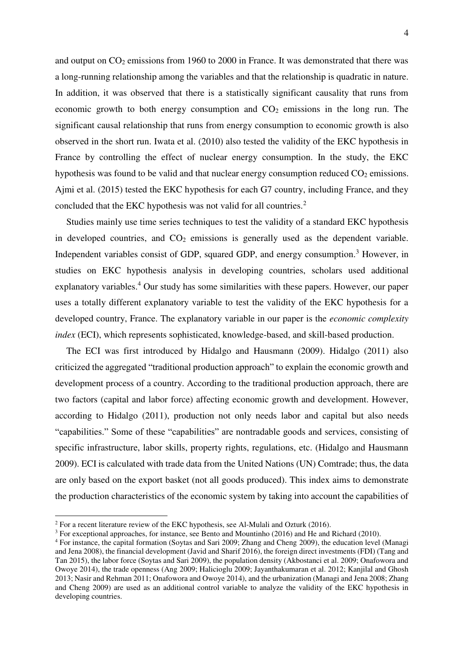and output on  $CO_2$  emissions from 1960 to 2000 in France. It was demonstrated that there was a long-running relationship among the variables and that the relationship is quadratic in nature. In addition, it was observed that there is a statistically significant causality that runs from economic growth to both energy consumption and  $CO<sub>2</sub>$  emissions in the long run. The significant causal relationship that runs from energy consumption to economic growth is also observed in the short run. Iwata et al. (2010) also tested the validity of the EKC hypothesis in France by controlling the effect of nuclear energy consumption. In the study, the EKC hypothesis was found to be valid and that nuclear energy consumption reduced  $CO<sub>2</sub>$  emissions. Ajmi et al. (2015) tested the EKC hypothesis for each G7 country, including France, and they concluded that the EKC hypothesis was not valid for all countries.<sup>2</sup>

Studies mainly use time series techniques to test the validity of a standard EKC hypothesis in developed countries, and  $CO<sub>2</sub>$  emissions is generally used as the dependent variable. Independent variables consist of GDP, squared GDP, and energy consumption.<sup>3</sup> However, in studies on EKC hypothesis analysis in developing countries, scholars used additional explanatory variables.<sup>4</sup> Our study has some similarities with these papers. However, our paper uses a totally different explanatory variable to test the validity of the EKC hypothesis for a developed country, France. The explanatory variable in our paper is the *economic complexity index* (ECI), which represents sophisticated, knowledge-based, and skill-based production.

The ECI was first introduced by Hidalgo and Hausmann (2009). Hidalgo (2011) also criticized the aggregated "traditional production approach" to explain the economic growth and development process of a country. According to the traditional production approach, there are two factors (capital and labor force) affecting economic growth and development. However, according to Hidalgo (2011), production not only needs labor and capital but also needs "capabilities." Some of these "capabilities" are nontradable goods and services, consisting of specific infrastructure, labor skills, property rights, regulations, etc. (Hidalgo and Hausmann 2009). ECI is calculated with trade data from the United Nations (UN) Comtrade; thus, the data are only based on the export basket (not all goods produced). This index aims to demonstrate the production characteristics of the economic system by taking into account the capabilities of

<u>.</u>

 $2$  For a recent literature review of the EKC hypothesis, see Al-Mulali and Ozturk (2016).

<sup>&</sup>lt;sup>3</sup> For exceptional approaches, for instance, see Bento and Mountinho (2016) and He and Richard (2010).

<sup>4</sup> For instance, the capital formation (Soytas and Sari 2009; Zhang and Cheng 2009), the education level (Managi and Jena 2008), the financial development (Javid and Sharif 2016), the foreign direct investments (FDI) (Tang and Tan 2015), the labor force (Soytas and Sari 2009), the population density (Akbostanci et al. 2009; Onafowora and Owoye 2014), the trade openness (Ang 2009; Halicioglu 2009; Jayanthakumaran et al. 2012; Kanjilal and Ghosh 2013; Nasir and Rehman 2011; Onafowora and Owoye 2014), and the urbanization (Managi and Jena 2008; Zhang and Cheng 2009) are used as an additional control variable to analyze the validity of the EKC hypothesis in developing countries.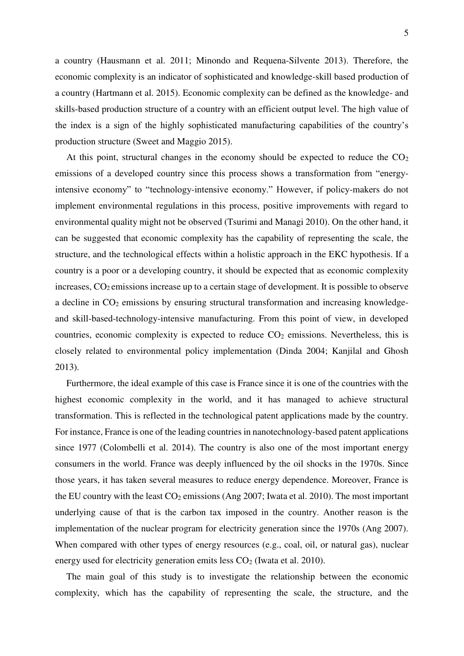a country (Hausmann et al. 2011; Minondo and Requena-Silvente 2013). Therefore, the economic complexity is an indicator of sophisticated and knowledge-skill based production of a country (Hartmann et al. 2015). Economic complexity can be defined as the knowledge- and skills-based production structure of a country with an efficient output level. The high value of the index is a sign of the highly sophisticated manufacturing capabilities of the country's production structure (Sweet and Maggio 2015).

At this point, structural changes in the economy should be expected to reduce the  $CO<sub>2</sub>$ emissions of a developed country since this process shows a transformation from "energyintensive economy" to "technology-intensive economy." However, if policy-makers do not implement environmental regulations in this process, positive improvements with regard to environmental quality might not be observed (Tsurimi and Managi 2010). On the other hand, it can be suggested that economic complexity has the capability of representing the scale, the structure, and the technological effects within a holistic approach in the EKC hypothesis. If a country is a poor or a developing country, it should be expected that as economic complexity increases, CO2 emissions increase up to a certain stage of development. It is possible to observe a decline in CO<sub>2</sub> emissions by ensuring structural transformation and increasing knowledgeand skill-based-technology-intensive manufacturing. From this point of view, in developed countries, economic complexity is expected to reduce  $CO<sub>2</sub>$  emissions. Nevertheless, this is closely related to environmental policy implementation (Dinda 2004; Kanjilal and Ghosh 2013).

Furthermore, the ideal example of this case is France since it is one of the countries with the highest economic complexity in the world, and it has managed to achieve structural transformation. This is reflected in the technological patent applications made by the country. For instance, France is one of the leading countries in nanotechnology-based patent applications since 1977 (Colombelli et al. 2014). The country is also one of the most important energy consumers in the world. France was deeply influenced by the oil shocks in the 1970s. Since those years, it has taken several measures to reduce energy dependence. Moreover, France is the EU country with the least  $CO_2$  emissions (Ang 2007; Iwata et al. 2010). The most important underlying cause of that is the carbon tax imposed in the country. Another reason is the implementation of the nuclear program for electricity generation since the 1970s (Ang 2007). When compared with other types of energy resources (e.g., coal, oil, or natural gas), nuclear energy used for electricity generation emits less  $CO<sub>2</sub>$  (Iwata et al. 2010).

The main goal of this study is to investigate the relationship between the economic complexity, which has the capability of representing the scale, the structure, and the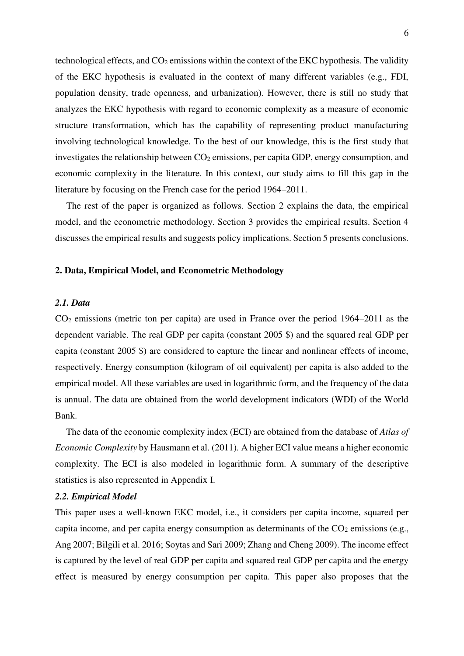technological effects, and  $CO<sub>2</sub>$  emissions within the context of the EKC hypothesis. The validity of the EKC hypothesis is evaluated in the context of many different variables (e.g., FDI, population density, trade openness, and urbanization). However, there is still no study that analyzes the EKC hypothesis with regard to economic complexity as a measure of economic structure transformation, which has the capability of representing product manufacturing involving technological knowledge. To the best of our knowledge, this is the first study that investigates the relationship between  $CO<sub>2</sub>$  emissions, per capita GDP, energy consumption, and economic complexity in the literature. In this context, our study aims to fill this gap in the literature by focusing on the French case for the period 1964–2011.

The rest of the paper is organized as follows. Section 2 explains the data, the empirical model, and the econometric methodology. Section 3 provides the empirical results. Section 4 discusses the empirical results and suggests policy implications. Section 5 presents conclusions.

#### **2. Data, Empirical Model, and Econometric Methodology**

# *2.1. Data*

CO2 emissions (metric ton per capita) are used in France over the period 1964–2011 as the dependent variable. The real GDP per capita (constant 2005 \$) and the squared real GDP per capita (constant 2005 \$) are considered to capture the linear and nonlinear effects of income, respectively. Energy consumption (kilogram of oil equivalent) per capita is also added to the empirical model. All these variables are used in logarithmic form, and the frequency of the data is annual. The data are obtained from the world development indicators (WDI) of the World Bank.

The data of the economic complexity index (ECI) are obtained from the database of *Atlas of Economic Complexity* by Hausmann et al. (2011)*.* A higher ECI value means a higher economic complexity. The ECI is also modeled in logarithmic form. A summary of the descriptive statistics is also represented in Appendix I.

#### *2.2. Empirical Model*

This paper uses a well-known EKC model, i.e., it considers per capita income, squared per capita income, and per capita energy consumption as determinants of the  $CO<sub>2</sub>$  emissions (e.g., Ang 2007; Bilgili et al. 2016; Soytas and Sari 2009; Zhang and Cheng 2009). The income effect is captured by the level of real GDP per capita and squared real GDP per capita and the energy effect is measured by energy consumption per capita. This paper also proposes that the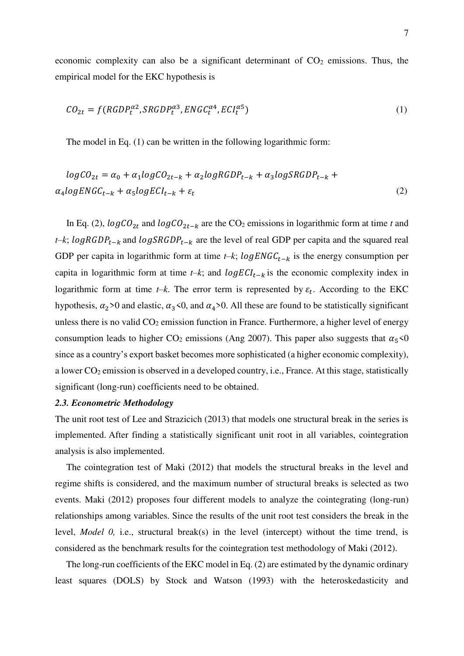economic complexity can also be a significant determinant of  $CO<sub>2</sub>$  emissions. Thus, the empirical model for the EKC hypothesis is

$$
CO_{2t} = f(RGDP_t^{\alpha 2}, SRGDP_t^{\alpha 3}, ENGC_t^{\alpha 4}, ECI_t^{\alpha 5})
$$
\n
$$
\tag{1}
$$

The model in Eq. (1) can be written in the following logarithmic form:

$$
logCO_{2t} = \alpha_0 + \alpha_1 logCO_{2t-k} + \alpha_2 logRGDP_{t-k} + \alpha_3 logSRGDP_{t-k} + \alpha_4 logENGC_{t-k} + \alpha_5 logECI_{t-k} + \varepsilon_t
$$
\n(2)

In Eq. (2),  $logCO_{2t}$  and  $logCO_{2t-k}$  are the CO<sub>2</sub> emissions in logarithmic form at time *t* and *t*–*k*;  $logRGDP_{t-k}$  and  $logSRGDP_{t-k}$  are the level of real GDP per capita and the squared real GDP per capita in logarithmic form at time  $t-k$ ;  $logENGC_{t-k}$  is the energy consumption per capita in logarithmic form at time *t–k*; and  $logECI_{t-k}$  is the economic complexity index in logarithmic form at time  $t-k$ . The error term is represented by  $\varepsilon_t$ . According to the EKC hypothesis,  $\alpha_2$ >0 and elastic,  $\alpha_3$ <0, and  $\alpha_4$ >0. All these are found to be statistically significant unless there is no valid  $CO<sub>2</sub>$  emission function in France. Furthermore, a higher level of energy consumption leads to higher CO<sub>2</sub> emissions (Ang 2007). This paper also suggests that  $\alpha_5 < 0$ since as a country's export basket becomes more sophisticated (a higher economic complexity), a lower  $CO_2$  emission is observed in a developed country, i.e., France. At this stage, statistically significant (long-run) coefficients need to be obtained.

# *2.3. Econometric Methodology*

The unit root test of Lee and Strazicich (2013) that models one structural break in the series is implemented. After finding a statistically significant unit root in all variables, cointegration analysis is also implemented.

The cointegration test of Maki (2012) that models the structural breaks in the level and regime shifts is considered, and the maximum number of structural breaks is selected as two events. Maki (2012) proposes four different models to analyze the cointegrating (long-run) relationships among variables. Since the results of the unit root test considers the break in the level, *Model 0,* i.e., structural break(s) in the level (intercept) without the time trend, is considered as the benchmark results for the cointegration test methodology of Maki (2012).

The long-run coefficients of the EKC model in Eq. (2) are estimated by the dynamic ordinary least squares (DOLS) by Stock and Watson (1993) with the heteroskedasticity and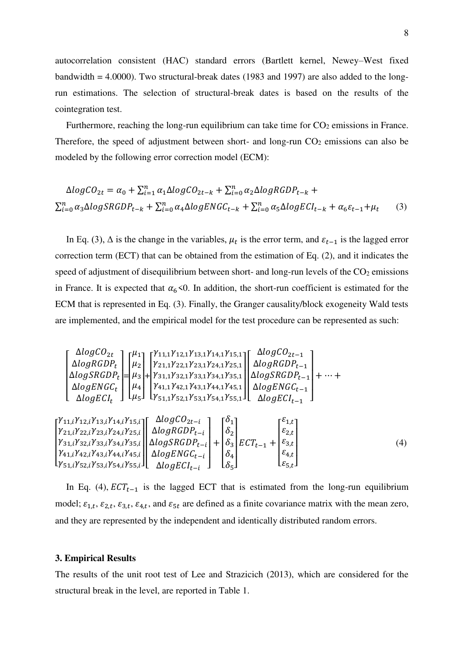autocorrelation consistent (HAC) standard errors (Bartlett kernel, Newey–West fixed bandwidth = 4.0000). Two structural-break dates (1983 and 1997) are also added to the longrun estimations. The selection of structural-break dates is based on the results of the cointegration test.

Furthermore, reaching the long-run equilibrium can take time for  $CO<sub>2</sub>$  emissions in France. Therefore, the speed of adjustment between short- and long-run  $CO<sub>2</sub>$  emissions can also be modeled by the following error correction model (ECM):

$$
\Delta logCO_{2t} = \alpha_0 + \sum_{i=1}^{n} \alpha_1 \Delta logCO_{2t-k} + \sum_{i=0}^{n} \alpha_2 \Delta logRGDP_{t-k} +
$$
  

$$
\sum_{i=0}^{n} \alpha_3 \Delta logSRGDP_{t-k} + \sum_{i=0}^{n} \alpha_4 \Delta logENGC_{t-k} + \sum_{i=0}^{n} \alpha_5 \Delta logECI_{t-k} + \alpha_6 \varepsilon_{t-1} + \mu_t
$$
 (3)

In Eq. (3),  $\Delta$  is the change in the variables,  $\mu_t$  is the error term, and  $\varepsilon_{t-1}$  is the lagged error correction term (ECT) that can be obtained from the estimation of Eq. (2), and it indicates the speed of adjustment of disequilibrium between short- and long-run levels of the  $CO<sub>2</sub>$  emissions in France. It is expected that  $\alpha_6$ <0. In addition, the short-run coefficient is estimated for the ECM that is represented in Eq. (3). Finally, the Granger causality/block exogeneity Wald tests are implemented, and the empirical model for the test procedure can be represented as such:

$$
\begin{bmatrix}\n\Delta log CO_{2t} \\
\Delta log RGBP_{t} \\
\Delta logSRGDP_{t} \\
\Delta logSRGDP_{t} \\
\Delta logSRGDP_{t} \\
\Delta logSRGDP_{t} \\
\Delta logERG_{t}\n\end{bmatrix} = \begin{bmatrix}\n\mu_{11} \\
\mu_{2} \\
\mu_{3} \\
\mu_{4} \\
\mu_{5}\n\end{bmatrix} + \begin{bmatrix}\n\gamma_{11,1}\gamma_{12,1}\gamma_{13,1}\gamma_{14,1}\gamma_{15,1} \\
\gamma_{21,1}\gamma_{22,1}\gamma_{23,1}\gamma_{24,1}\gamma_{25,1} \\
\gamma_{31,1}\gamma_{32,1}\gamma_{33,1}\gamma_{34,1}\gamma_{35,1} \\
\gamma_{41,1}\gamma_{42,1}\gamma_{43,1}\gamma_{44,1}\gamma_{45,1}\n\end{bmatrix} \begin{bmatrix}\n\Delta logRGDP_{t-1} \\
\Delta logERG_{t-1} \\
\Delta logENGC_{t-1}\n\end{bmatrix} + \cdots + \begin{bmatrix}\n\gamma_{11,i}\gamma_{12,i}\gamma_{13,i}\gamma_{14,i}\gamma_{15,i} \\
\gamma_{21,i}\gamma_{22,i}\gamma_{23,i}\gamma_{24,i}\gamma_{25,i} \\
\gamma_{31,i}\gamma_{32,i}\gamma_{33,i}\gamma_{34,i}\gamma_{35,i} \\
\gamma_{41,i}\gamma_{42,i}\gamma_{43,i}\gamma_{44,i}\gamma_{45,i} \\
\gamma_{51,i}\gamma_{52,i}\gamma_{53,i}\gamma_{54,i}\gamma_{55,i}\n\end{bmatrix} \begin{bmatrix}\n\Delta logRGDP_{t-i} \\
\Delta logSRGDP_{t-i} \\
\Delta logERGC_{t-i} \\
\delta_{t-1}\n\end{bmatrix} + \begin{bmatrix}\n\delta_{1} \\
\delta_{2} \\
\delta_{3} \\
\delta_{4}\n\end{bmatrix} ECT_{t-1} + \begin{bmatrix}\n\epsilon_{1,t} \\
\epsilon_{2,t} \\
\epsilon_{3,t} \\
\epsilon_{4,t} \\
\epsilon_{5,t}\n\end{bmatrix}
$$
\n(4)

 $\sim$ 

 $\sim$   $\sim$ 

In Eq. (4),  $ECT_{t-1}$  is the lagged ECT that is estimated from the long-run equilibrium model;  $\varepsilon_{1,t}$ ,  $\varepsilon_{2,t}$ ,  $\varepsilon_{3,t}$ ,  $\varepsilon_{4,t}$ , and  $\varepsilon_{5t}$  are defined as a finite covariance matrix with the mean zero, and they are represented by the independent and identically distributed random errors.

#### **3. Empirical Results**

 $\sim$   $\sim$ 

 $\overline{a}$ I I

The results of the unit root test of Lee and Strazicich (2013), which are considered for the structural break in the level, are reported in Table 1.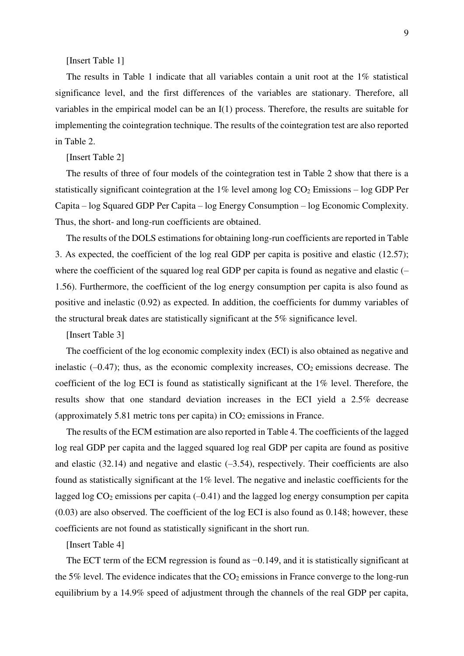[Insert Table 1]

The results in Table 1 indicate that all variables contain a unit root at the 1% statistical significance level, and the first differences of the variables are stationary. Therefore, all variables in the empirical model can be an I(1) process. Therefore, the results are suitable for implementing the cointegration technique. The results of the cointegration test are also reported in Table 2.

[Insert Table 2]

The results of three of four models of the cointegration test in Table 2 show that there is a statistically significant cointegration at the  $1\%$  level among log  $CO<sub>2</sub>$  Emissions – log GDP Per Capita – log Squared GDP Per Capita – log Energy Consumption – log Economic Complexity. Thus, the short- and long-run coefficients are obtained.

The results of the DOLS estimations for obtaining long-run coefficients are reported in Table 3. As expected, the coefficient of the log real GDP per capita is positive and elastic (12.57); where the coefficient of the squared log real GDP per capita is found as negative and elastic (-1.56). Furthermore, the coefficient of the log energy consumption per capita is also found as positive and inelastic (0.92) as expected. In addition, the coefficients for dummy variables of the structural break dates are statistically significant at the 5% significance level.

[Insert Table 3]

The coefficient of the log economic complexity index (ECI) is also obtained as negative and inelastic  $(-0.47)$ ; thus, as the economic complexity increases,  $CO<sub>2</sub>$  emissions decrease. The coefficient of the log ECI is found as statistically significant at the 1% level. Therefore, the results show that one standard deviation increases in the ECI yield a 2.5% decrease (approximately 5.81 metric tons per capita) in  $CO<sub>2</sub>$  emissions in France.

The results of the ECM estimation are also reported in Table 4. The coefficients of the lagged log real GDP per capita and the lagged squared log real GDP per capita are found as positive and elastic  $(32.14)$  and negative and elastic  $(-3.54)$ , respectively. Their coefficients are also found as statistically significant at the 1% level. The negative and inelastic coefficients for the lagged log  $CO<sub>2</sub>$  emissions per capita (-0.41) and the lagged log energy consumption per capita (0.03) are also observed. The coefficient of the log ECI is also found as 0.148; however, these coefficients are not found as statistically significant in the short run.

[Insert Table 4]

The ECT term of the ECM regression is found as  $-0.149$ , and it is statistically significant at the 5% level. The evidence indicates that the  $CO<sub>2</sub>$  emissions in France converge to the long-run equilibrium by a 14.9% speed of adjustment through the channels of the real GDP per capita,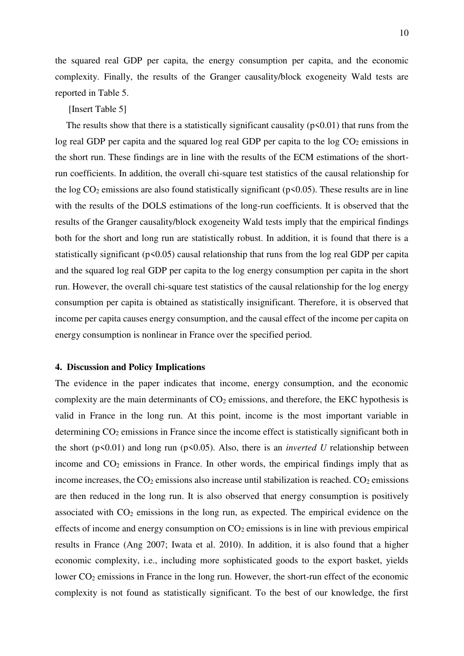the squared real GDP per capita, the energy consumption per capita, and the economic complexity. Finally, the results of the Granger causality/block exogeneity Wald tests are reported in Table 5.

# [Insert Table 5]

The results show that there is a statistically significant causality  $(p<0.01)$  that runs from the log real GDP per capita and the squared log real GDP per capita to the log  $CO<sub>2</sub>$  emissions in the short run. These findings are in line with the results of the ECM estimations of the shortrun coefficients. In addition, the overall chi-square test statistics of the causal relationship for the log  $CO_2$  emissions are also found statistically significant ( $p$ <0.05). These results are in line with the results of the DOLS estimations of the long-run coefficients. It is observed that the results of the Granger causality/block exogeneity Wald tests imply that the empirical findings both for the short and long run are statistically robust. In addition, it is found that there is a statistically significant ( $p<0.05$ ) causal relationship that runs from the log real GDP per capita and the squared log real GDP per capita to the log energy consumption per capita in the short run. However, the overall chi-square test statistics of the causal relationship for the log energy consumption per capita is obtained as statistically insignificant. Therefore, it is observed that income per capita causes energy consumption, and the causal effect of the income per capita on energy consumption is nonlinear in France over the specified period.

#### **4. Discussion and Policy Implications**

The evidence in the paper indicates that income, energy consumption, and the economic complexity are the main determinants of  $CO<sub>2</sub>$  emissions, and therefore, the EKC hypothesis is valid in France in the long run. At this point, income is the most important variable in determining  $CO<sub>2</sub>$  emissions in France since the income effect is statistically significant both in the short ( $p\leq 0.01$ ) and long run ( $p\leq 0.05$ ). Also, there is an *inverted U* relationship between income and CO<sub>2</sub> emissions in France. In other words, the empirical findings imply that as income increases, the  $CO<sub>2</sub>$  emissions also increase until stabilization is reached.  $CO<sub>2</sub>$  emissions are then reduced in the long run. It is also observed that energy consumption is positively associated with  $CO<sub>2</sub>$  emissions in the long run, as expected. The empirical evidence on the effects of income and energy consumption on  $CO<sub>2</sub>$  emissions is in line with previous empirical results in France (Ang 2007; Iwata et al. 2010). In addition, it is also found that a higher economic complexity, i.e., including more sophisticated goods to the export basket, yields lower CO<sub>2</sub> emissions in France in the long run. However, the short-run effect of the economic complexity is not found as statistically significant. To the best of our knowledge, the first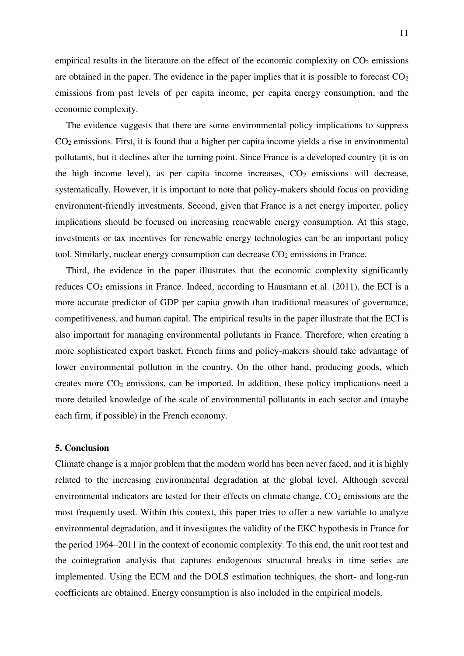empirical results in the literature on the effect of the economic complexity on  $CO<sub>2</sub>$  emissions are obtained in the paper. The evidence in the paper implies that it is possible to forecast  $CO<sub>2</sub>$ emissions from past levels of per capita income, per capita energy consumption, and the economic complexity.

The evidence suggests that there are some environmental policy implications to suppress CO2 emissions. First, it is found that a higher per capita income yields a rise in environmental pollutants, but it declines after the turning point. Since France is a developed country (it is on the high income level), as per capita income increases,  $CO<sub>2</sub>$  emissions will decrease, systematically. However, it is important to note that policy-makers should focus on providing environment-friendly investments. Second, given that France is a net energy importer, policy implications should be focused on increasing renewable energy consumption. At this stage, investments or tax incentives for renewable energy technologies can be an important policy tool. Similarly, nuclear energy consumption can decrease  $CO<sub>2</sub>$  emissions in France.

Third, the evidence in the paper illustrates that the economic complexity significantly reduces  $CO<sub>2</sub>$  emissions in France. Indeed, according to Hausmann et al. (2011), the ECI is a more accurate predictor of GDP per capita growth than traditional measures of governance, competitiveness, and human capital. The empirical results in the paper illustrate that the ECI is also important for managing environmental pollutants in France. Therefore, when creating a more sophisticated export basket, French firms and policy-makers should take advantage of lower environmental pollution in the country. On the other hand, producing goods, which creates more CO2 emissions, can be imported. In addition, these policy implications need a more detailed knowledge of the scale of environmental pollutants in each sector and (maybe each firm, if possible) in the French economy.

### **5. Conclusion**

Climate change is a major problem that the modern world has been never faced, and it is highly related to the increasing environmental degradation at the global level. Although several environmental indicators are tested for their effects on climate change,  $CO<sub>2</sub>$  emissions are the most frequently used. Within this context, this paper tries to offer a new variable to analyze environmental degradation, and it investigates the validity of the EKC hypothesis in France for the period 1964–2011 in the context of economic complexity. To this end, the unit root test and the cointegration analysis that captures endogenous structural breaks in time series are implemented. Using the ECM and the DOLS estimation techniques, the short- and long-run coefficients are obtained. Energy consumption is also included in the empirical models.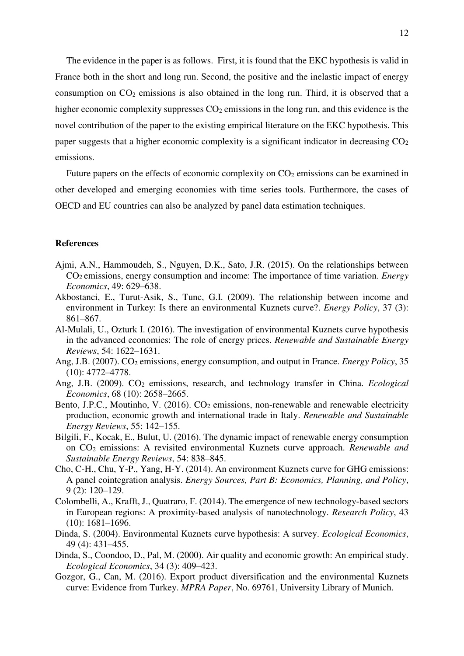The evidence in the paper is as follows. First, it is found that the EKC hypothesis is valid in France both in the short and long run. Second, the positive and the inelastic impact of energy consumption on  $CO<sub>2</sub>$  emissions is also obtained in the long run. Third, it is observed that a higher economic complexity suppresses  $CO<sub>2</sub>$  emissions in the long run, and this evidence is the novel contribution of the paper to the existing empirical literature on the EKC hypothesis. This paper suggests that a higher economic complexity is a significant indicator in decreasing  $CO<sub>2</sub>$ emissions.

Future papers on the effects of economic complexity on  $CO<sub>2</sub>$  emissions can be examined in other developed and emerging economies with time series tools. Furthermore, the cases of OECD and EU countries can also be analyzed by panel data estimation techniques.

### **References**

- Ajmi, A.N., Hammoudeh, S., Nguyen, D.K., Sato, J.R. (2015). On the relationships between CO2 emissions, energy consumption and income: The importance of time variation. *Energy Economics*, 49: 629–638.
- Akbostanci, E., Turut-Asik, S., Tunc, G.I. (2009). The relationship between income and environment in Turkey: Is there an environmental Kuznets curve?. *Energy Policy*, 37 (3): 861–867.
- Al-Mulali, U., Ozturk I. (2016). The investigation of environmental Kuznets curve hypothesis in the advanced economies: The role of energy prices. *Renewable and Sustainable Energy Reviews*, 54: 1622–1631.
- Ang, J.B. (2007). CO<sub>2</sub> emissions, energy consumption, and output in France. *Energy Policy*, 35 (10): 4772–4778.
- Ang, J.B. (2009). CO<sub>2</sub> emissions, research, and technology transfer in China. *Ecological Economics*, 68 (10): 2658–2665.
- Bento, J.P.C., Moutinho, V.  $(2016)$ .  $CO<sub>2</sub>$  emissions, non-renewable and renewable electricity production, economic growth and international trade in Italy. *Renewable and Sustainable Energy Reviews*, 55: 142–155.
- Bilgili, F., Kocak, E., Bulut, U. (2016). The dynamic impact of renewable energy consumption on CO2 emissions: A revisited environmental Kuznets curve approach. *Renewable and Sustainable Energy Reviews*, 54: 838–845.
- Cho, C-H., Chu, Y-P., Yang, H-Y. (2014). An environment Kuznets curve for GHG emissions: A panel cointegration analysis. *Energy Sources, Part B: Economics, Planning, and Policy*, 9 (2): 120–129.
- Colombelli, A., Krafft, J., Quatraro, F. (2014). The emergence of new technology-based sectors in European regions: A proximity-based analysis of nanotechnology. *Research Policy*, 43 (10): 1681–1696.
- Dinda, S. (2004). Environmental Kuznets curve hypothesis: A survey. *Ecological Economics*, 49 (4): 431–455.
- Dinda, S., Coondoo, D., Pal, M. (2000). Air quality and economic growth: An empirical study. *Ecological Economics*, 34 (3): 409–423.
- Gozgor, G., Can, M. (2016). Export product diversification and the environmental Kuznets curve: Evidence from Turkey. *MPRA Paper*, No. 69761, University Library of Munich.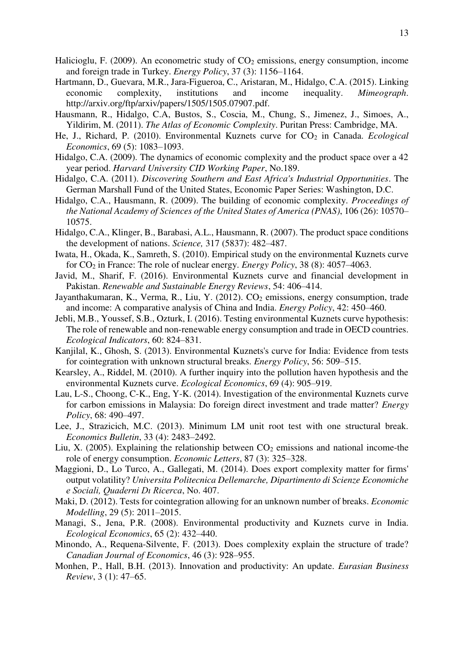- Halicioglu, F. (2009). An econometric study of  $CO<sub>2</sub>$  emissions, energy consumption, income and foreign trade in Turkey. *Energy Policy*, 37 (3): 1156–1164.
- Hartmann, D., Guevara, M.R., Jara-Figueroa, C., Aristaran, M., Hidalgo, C.A. (2015). Linking economic complexity, institutions and income inequality. *Mimeograph*. http://arxiv.org/ftp/arxiv/papers/1505/1505.07907.pdf.
- Hausmann, R., Hidalgo, C.A, Bustos, S., Coscia, M., Chung, S., Jimenez, J., Simoes, A., Yildirim, M. (2011). *The Atlas of Economic Complexity*. Puritan Press: Cambridge, MA.
- He, J., Richard, P. (2010). Environmental Kuznets curve for CO<sub>2</sub> in Canada. *Ecological Economics*, 69 (5): 1083–1093.
- Hidalgo, C.A. (2009). The dynamics of economic complexity and the product space over a 42 year period. *Harvard University CID Working Paper*, No.189.
- Hidalgo, C.A. (2011). *Discovering Southern and East Africa's Industrial Opportunities*. The German Marshall Fund of the United States, Economic Paper Series: Washington, D.C.
- Hidalgo, C.A., Hausmann, R. (2009). The building of economic complexity. *Proceedings of the National Academy of Sciences of the United States of America (PNAS)*, 106 (26): 10570– 10575.
- Hidalgo, C.A., Klinger, B., Barabasi, A.L., Hausmann, R. (2007). The product space conditions the development of nations. *Science,* 317 (5837): 482–487.
- Iwata, H., Okada, K., Samreth, S. (2010). Empirical study on the environmental Kuznets curve for CO2 in France: The role of nuclear energy. *Energy Policy*, 38 (8): 4057–4063.
- Javid, M., Sharif, F. (2016). Environmental Kuznets curve and financial development in Pakistan. *Renewable and Sustainable Energy Reviews*, 54: 406–414.
- Jayanthakumaran, K., Verma, R., Liu, Y. (2012). CO<sub>2</sub> emissions, energy consumption, trade and income: A comparative analysis of China and India. *Energy Policy*, 42: 450–460.
- Jebli, M.B., Youssef, S.B., Ozturk, I. (2016). Testing environmental Kuznets curve hypothesis: The role of renewable and non-renewable energy consumption and trade in OECD countries. *Ecological Indicators*, 60: 824–831.
- Kanjilal, K., Ghosh, S. (2013). Environmental Kuznets's curve for India: Evidence from tests for cointegration with unknown structural breaks. *Energy Policy*, 56: 509–515.
- Kearsley, A., Riddel, M. (2010). A further inquiry into the pollution haven hypothesis and the environmental Kuznets curve. *Ecological Economics*, 69 (4): 905–919.
- Lau, L-S., Choong, C-K., Eng, Y-K. (2014). Investigation of the environmental Kuznets curve for carbon emissions in Malaysia: Do foreign direct investment and trade matter? *Energy Policy*, 68: 490–497.
- Lee, J., Strazicich, M.C. (2013). Minimum LM unit root test with one structural break. *Economics Bulletin*, 33 (4): 2483–2492.
- Liu, X. (2005). Explaining the relationship between  $CO<sub>2</sub>$  emissions and national income-the role of energy consumption. *Economic Letters*, 87 (3): 325–328.
- Maggioni, D., Lo Turco, A., Gallegati, M. (2014). Does export complexity matter for firms' output volatility? *Universita Politecnica Dellemarche, Dipartimento di Scienze Economiche e Sociali, Quaderni Dı Ricerca*, No. 407.
- Maki, D. (2012). Tests for cointegration allowing for an unknown number of breaks. *Economic Modelling*, 29 (5): 2011–2015.
- Managi, S., Jena, P.R. (2008). Environmental productivity and Kuznets curve in India. *Ecological Economics*, 65 (2): 432–440.
- Minondo, A., Requena-Silvente, F. (2013). Does complexity explain the structure of trade? *Canadian Journal of Economics*, 46 (3): 928–955.
- Monhen, P., Hall, B.H. (2013). Innovation and productivity: An update. *Eurasian Business Review*, 3 (1): 47–65.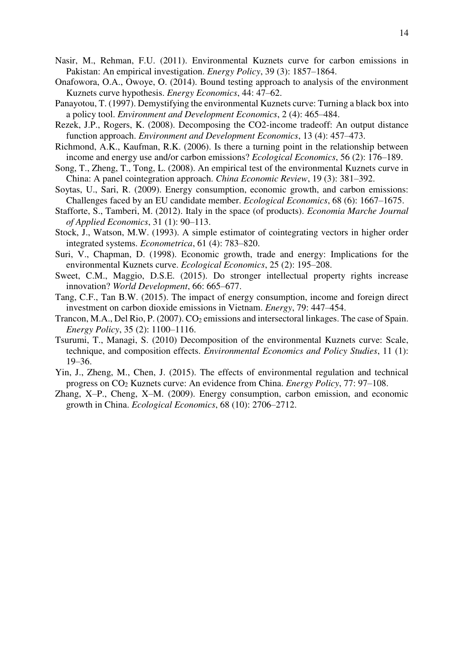- Nasir, M., Rehman, F.U. (2011). Environmental Kuznets curve for carbon emissions in Pakistan: An empirical investigation. *Energy Policy*, 39 (3): 1857–1864.
- Onafowora, O.A., Owoye, O. (2014). Bound testing approach to analysis of the environment Kuznets curve hypothesis. *Energy Economics*, 44: 47–62.
- Panayotou, T. (1997). Demystifying the environmental Kuznets curve: Turning a black box into a policy tool. *Environment and Development Economics*, 2 (4): 465–484.
- Rezek, J.P., Rogers, K. (2008). Decomposing the CO2-income tradeoff: An output distance function approach. *Environment and Development Economics*, 13 (4): 457–473.
- Richmond, A.K., Kaufman, R.K. (2006). Is there a turning point in the relationship between income and energy use and/or carbon emissions? *Ecological Economics*, 56 (2): 176–189.
- Song, T., Zheng, T., Tong, L. (2008). An empirical test of the environmental Kuznets curve in China: A panel cointegration approach. *China Economic Review*, 19 (3): 381–392.
- Soytas, U., Sari, R. (2009). Energy consumption, economic growth, and carbon emissions: Challenges faced by an EU candidate member. *Ecological Economics*, 68 (6): 1667–1675.
- Stafforte, S., Tamberi, M. (2012). Italy in the space (of products). *Economia Marche Journal of Applied Economics*, 31 (1): 90–113.
- Stock, J., Watson, M.W. (1993). A simple estimator of cointegrating vectors in higher order integrated systems. *Econometrica*, 61 (4): 783–820.
- Suri, V., Chapman, D. (1998). Economic growth, trade and energy: Implications for the environmental Kuznets curve. *Ecological Economics*, 25 (2): 195–208.
- Sweet, C.M., Maggio, D.S.E. (2015). Do stronger intellectual property rights increase innovation? *World Development*, 66: 665–677.
- Tang, C.F., Tan B.W. (2015). The impact of energy consumption, income and foreign direct investment on carbon dioxide emissions in Vietnam. *Energy*, 79: 447–454.
- Trancon, M.A., Del Rio, P. (2007). CO<sub>2</sub> emissions and intersectoral linkages. The case of Spain. *Energy Policy*, 35 (2): 1100–1116.
- Tsurumi, T., Managi, S. (2010) Decomposition of the environmental Kuznets curve: Scale, technique, and composition effects. *Environmental Economics and Policy Studies*, 11 (1): 19–36.
- Yin, J., Zheng, M., Chen, J. (2015). The effects of environmental regulation and technical progress on CO2 Kuznets curve: An evidence from China. *Energy Policy*, 77: 97–108.
- Zhang, X–P., Cheng, X–M. (2009). Energy consumption, carbon emission, and economic growth in China. *Ecological Economics*, 68 (10): 2706–2712.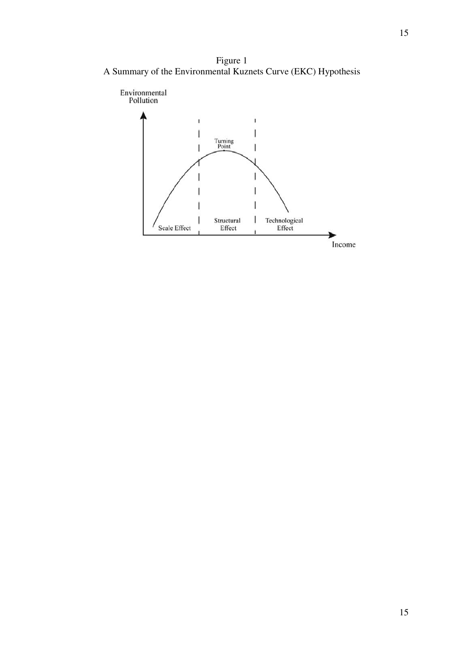Figure 1 A Summary of the Environmental Kuznets Curve (EKC) Hypothesis

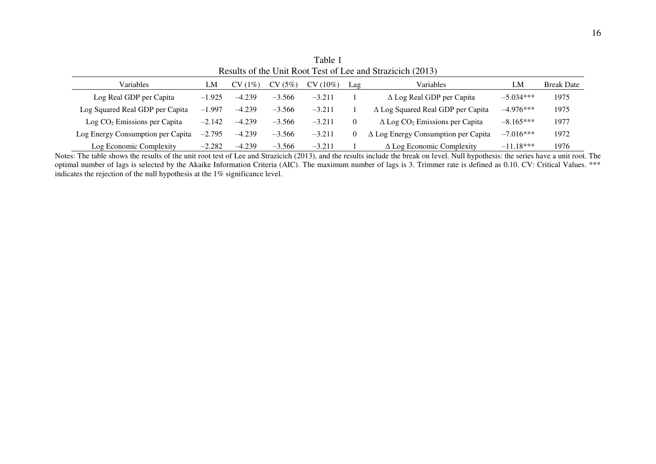| $1000$ and $01000$ and $1000$ and $0100$ and $0000$ and $0000$ |          |               |          |            |     |                                                   |             |                   |
|----------------------------------------------------------------|----------|---------------|----------|------------|-----|---------------------------------------------------|-------------|-------------------|
| <b>Variables</b>                                               | LM       | $(1\%)$<br>CV | CV(5%)   | $CV(10\%)$ | Lag | Variables                                         | LM          | <b>Break Date</b> |
| Log Real GDP per Capita                                        | $-1.925$ | $-4.239$      | $-3.566$ | $-3.211$   |     | $\Delta$ Log Real GDP per Capita                  | $-5.034***$ | 1975              |
| Log Squared Real GDP per Capita                                | $-1.997$ | $-4.239$      | $-3.566$ | $-3.211$   |     | $\Delta$ Log Squared Real GDP per Capita          | $-4.976***$ | 1975              |
| $Log CO2 Emissions per Capita$                                 | $-2.142$ | $-4.239$      | $-3.566$ | $-3.211$   |     | $\Delta$ Log CO <sub>2</sub> Emissions per Capita | $-8.165***$ | 1977              |
| Log Energy Consumption per Capita                              | $-2.795$ | $-4.239$      | $-3.566$ | $-3.211$   |     | $\Delta$ Log Energy Consumption per Capita        | $-7.016***$ | 1972              |
| Log Economic Complexity                                        | $-2.282$ | $-4.239$      | $-3.566$ | $-3.211$   |     | $\Delta$ Log Economic Complexity                  | $-11.18***$ | 1976              |

Table 1 Results of the Unit Root Test of Lee and Strazicich (2013)

Notes: The table shows the results of the unit root test of Lee and Strazicich (2013), and the results include the break on level. Null hypothesis: the series have a unit root. The optimal number of lags is selected by the Akaike Information Criteria (AIC). The maximum number of lags is 3. Trimmer rate is defined as 0.10. CV: Critical Values. \*\*\* indicates the rejection of the null hypothesis at the 1% significance level.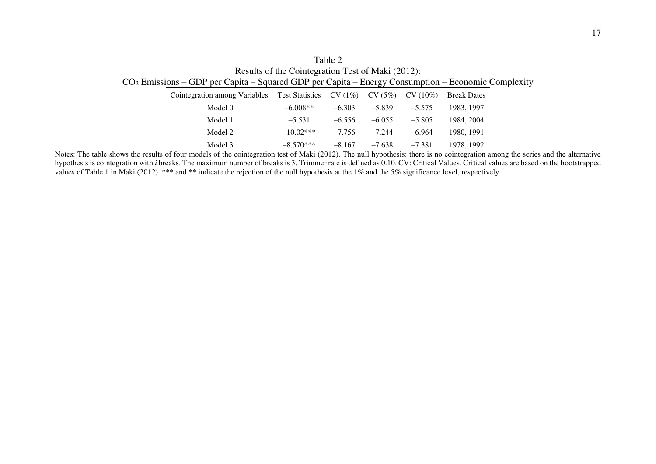Table 2 Results of the Cointegration Test of Maki (2012): CO2 Emissions – GDP per Capita – Squared GDP per Capita – Energy Consumption – Economic Complexity

| Cointegration among Variables | <b>Test Statistics</b> | $CV(1\%)$ | CV(5%)   | $CV(10\%)$ | <b>Break Dates</b> |
|-------------------------------|------------------------|-----------|----------|------------|--------------------|
| Model 0                       | $-6.008**$             | $-6.303$  | $-5.839$ | $-5.575$   | 1983, 1997         |
| Model 1                       | $-5.531$               | $-6.556$  | $-6.055$ | $-5.805$   | 1984, 2004         |
| Model 2                       | $-10.02***$            | $-7.756$  | $-7.244$ | $-6.964$   | 1980, 1991         |
| Model 3                       | $-8.570***$            | $-8.167$  | $-7.638$ | $-7.381$   | 1978, 1992         |

Notes: The table shows the results of four models of the cointegration test of Maki (2012). The null hypothesis: there is no cointegration among the series and the alternative hypothesis is cointegration with *i* breaks. The maximum number of breaks is 3. Trimmer rate is defined as 0.10. CV: Critical Values. Critical values are based on the bootstrapped values of Table 1 in Maki (2012). \*\*\* and \*\* indicate the rejection of the null hypothesis at the 1% and the 5% significance level, respectively.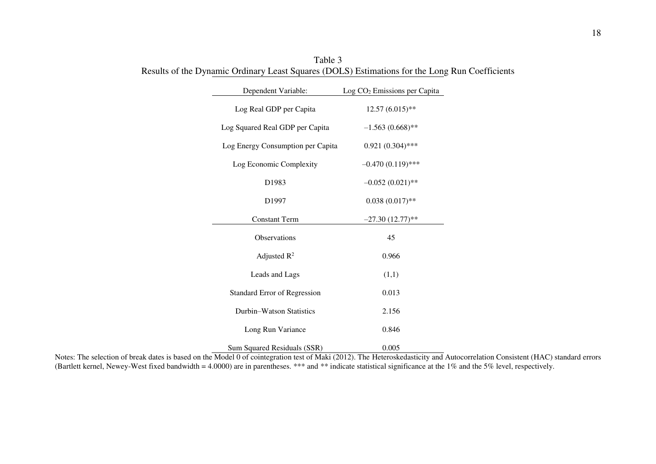| Dependent Variable:               | Log CO <sub>2</sub> Emissions per Capita |  |  |
|-----------------------------------|------------------------------------------|--|--|
| Log Real GDP per Capita           | $12.57(6.015)$ **                        |  |  |
| Log Squared Real GDP per Capita   | $-1.563(0.668)$ **                       |  |  |
| Log Energy Consumption per Capita | $0.921(0.304)$ ***                       |  |  |
| Log Economic Complexity           | $-0.470(0.119)$ ***                      |  |  |
| D1983                             | $-0.052(0.021)$ **                       |  |  |
| D1997                             | $0.038(0.017)$ **                        |  |  |
| <b>Constant Term</b>              | $-27.30(12.77)$ **                       |  |  |
| Observations                      | 45                                       |  |  |
| Adjusted $R^2$                    | 0.966                                    |  |  |
| Leads and Lags                    | (1,1)                                    |  |  |
| Standard Error of Regression      | 0.013                                    |  |  |
| Durbin-Watson Statistics          | 2.156                                    |  |  |
| Long Run Variance                 | 0.846                                    |  |  |
| Sum Squared Residuals (SSR)       | 0.005                                    |  |  |

Table 3 Results of the Dynamic Ordinary Least Squares (DOLS) Estimations for the Long Run Coefficients

Notes: The selection of break dates is based on the Model 0 of cointegration test of Maki (2012). The Heteroskedasticity and Autocorrelation Consistent (HAC) standard errors (Bartlett kernel, Newey-West fixed bandwidth = 4.0000) are in parentheses. \*\*\* and \*\* indicate statistical significance at the 1% and the 5% level, respectively.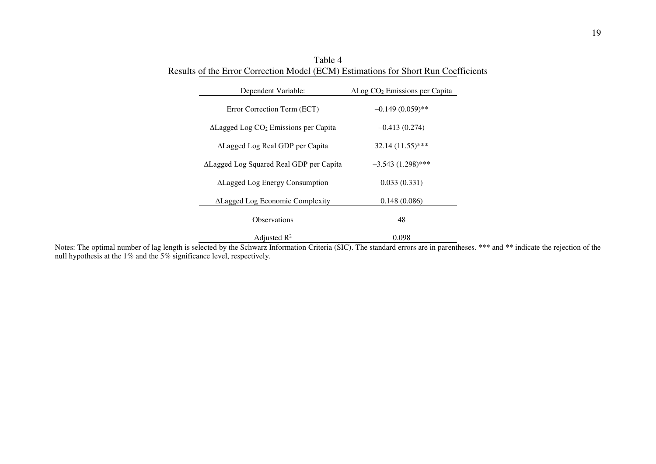| Dependent Variable:                                      | $\Delta$ Log CO <sub>2</sub> Emissions per Capita |
|----------------------------------------------------------|---------------------------------------------------|
| Error Correction Term (ECT)                              | $-0.149(0.059)$ **                                |
| $\Delta$ Lagged Log CO <sub>2</sub> Emissions per Capita | $-0.413(0.274)$                                   |
| ∆Lagged Log Real GDP per Capita                          | $32.14(11.55)$ ***                                |
| ALagged Log Squared Real GDP per Capita                  | $-3.543(1.298)$ ***                               |
| <b>ALagged Log Energy Consumption</b>                    | 0.033(0.331)                                      |
| <b>ALagged Log Economic Complexity</b>                   | 0.148(0.086)                                      |
| <b>Observations</b>                                      | 48                                                |
| Adjusted $\mathbb{R}^2$                                  | 0.098                                             |

Table 4 Results of the Error Correction Model (ECM) Estimations for Short Run Coefficients

Notes: The optimal number of lag length is selected by the Schwarz Information Criteria (SIC). The standard errors are in parentheses. \*\*\* and \*\* indicate the rejection of the null hypothesis at the 1% and the 5% significance level, respectively.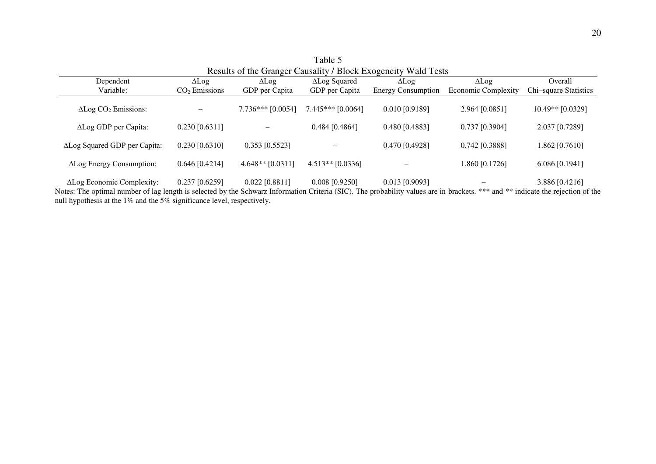| Results of the Granger Causality / Block Exogeneity Wald Tests |                              |                     |                      |                           |                            |                       |  |
|----------------------------------------------------------------|------------------------------|---------------------|----------------------|---------------------------|----------------------------|-----------------------|--|
| Dependent                                                      | $\Delta$ Log<br>$\Delta$ Log |                     | $\Delta$ Log Squared | $\Delta$ Log              | $\Delta$ Log               | Overall               |  |
| Variable:                                                      | $CO2$ Emissions              | GDP per Capita      | GDP per Capita       | <b>Energy Consumption</b> | <b>Economic Complexity</b> | Chi-square Statistics |  |
| $\Delta$ Log CO <sub>2</sub> Emissions:                        |                              | $7.736***$ [0.0054] | $7.445***$ [0.0064]  | $0.010$ [0.9189]          | 2.964 [0.0851]             | $10.49**$ [0.0329]    |  |
| ALog GDP per Capita:                                           | $0.230$ [0.6311]             |                     | $0.484$ [0.4864]     | 0.480 [0.4883]            | $0.737$ [0.3904]           | 2.037 [0.7289]        |  |
| ALog Squared GDP per Capita:                                   | $0.230$ [0.6310]             | $0.353$ [0.5523]    |                      | 0.470 [0.4928]            | $0.742$ [0.3888]           | 1.862 [0.7610]        |  |
| ALog Energy Consumption:                                       | $0.646$ [0.4214]             | $4.648**$ [0.0311]  | $4.513**$ [0.0336]   |                           | 1.860 [0.1726]             | $6.086$ [0.1941]      |  |

Table 5

∆Log Economic Complexity: 0.237 [0.6259] 0.022 [0.8811] 0.008 [0.9250] 0.013 [0.9093] – 3.886 [0.4216] Notes: The optimal number of lag length is selected by the Schwarz Information Criteria (SIC). The probability values are in brackets. \*\*\* and \*\* indicate the rejection of the null hypothesis at the 1% and the 5% significance level, respectively.